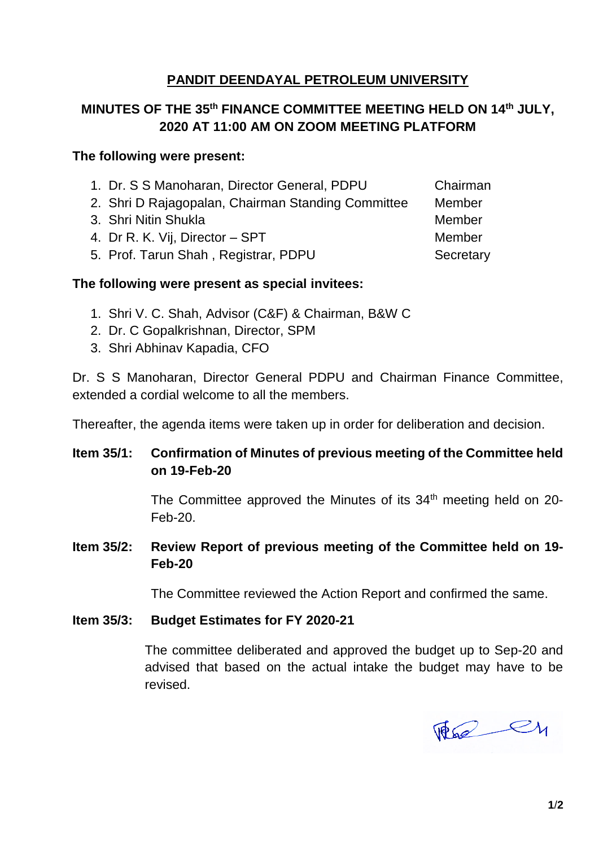# **MINUTES OF THE 35th FINANCE COMMITTEE MEETING HELD ON 14th JULY, 2020 AT 11:00 AM ON ZOOM MEETING PLATFORM**

## **The following were present:**

- 1. Dr. S S Manoharan, Director General, PDPU Chairman
- 2. Shri D Rajagopalan, Chairman Standing Committee Member
- 3. Shri Nitin Shukla Member and Member and Member
- 4. Dr R. K. Vii. Director SPT Member
- 5. Prof. Tarun Shah, Registrar, PDPU Secretary

## **The following were present as special invitees:**

- 1. Shri V. C. Shah, Advisor (C&F) & Chairman, B&W C
- 2. Dr. C Gopalkrishnan, Director, SPM
- 3. Shri Abhinav Kapadia, CFO

Dr. S S Manoharan, Director General PDPU and Chairman Finance Committee, extended a cordial welcome to all the members.

Thereafter, the agenda items were taken up in order for deliberation and decision.

# **Item 35/1: Confirmation of Minutes of previous meeting of the Committee held on 19-Feb-20**

The Committee approved the Minutes of its 34<sup>th</sup> meeting held on 20-Feb-20.

# **Item 35/2: Review Report of previous meeting of the Committee held on 19- Feb-20**

The Committee reviewed the Action Report and confirmed the same.

# **Item 35/3: Budget Estimates for FY 2020-21**

The committee deliberated and approved the budget up to Sep-20 and advised that based on the actual intake the budget may have to be revised.

The ey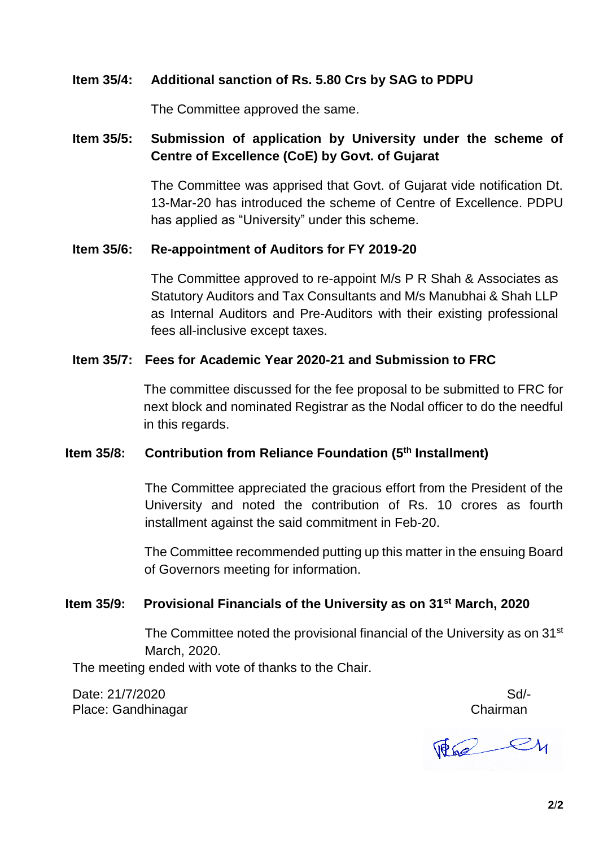## **Item 35/4: Additional sanction of Rs. 5.80 Crs by SAG to PDPU**

The Committee approved the same.

# **Item 35/5: Submission of application by University under the scheme of Centre of Excellence (CoE) by Govt. of Gujarat**

The Committee was apprised that Govt. of Gujarat vide notification Dt. 13-Mar-20 has introduced the scheme of Centre of Excellence. PDPU has applied as "University" under this scheme.

### **Item 35/6: Re-appointment of Auditors for FY 2019-20**

The Committee approved to re-appoint M/s P R Shah & Associates as Statutory Auditors and Tax Consultants and M/s Manubhai & Shah LLP as Internal Auditors and Pre-Auditors with their existing professional fees all-inclusive except taxes.

## **Item 35/7: Fees for Academic Year 2020-21 and Submission to FRC**

The committee discussed for the fee proposal to be submitted to FRC for next block and nominated Registrar as the Nodal officer to do the needful in this regards.

# **Item 35/8: Contribution from Reliance Foundation (5th Installment)**

The Committee appreciated the gracious effort from the President of the University and noted the contribution of Rs. 10 crores as fourth installment against the said commitment in Feb-20.

The Committee recommended putting up this matter in the ensuing Board of Governors meeting for information.

# **Item 35/9: Provisional Financials of the University as on 31st March, 2020**

The Committee noted the provisional financial of the University as on 31<sup>st</sup> March, 2020.

The meeting ended with vote of thanks to the Chair.

Date: 21/7/2020 Sd/-Place: Gandhinagar Chairman

 $\mathbb{F}_{2}$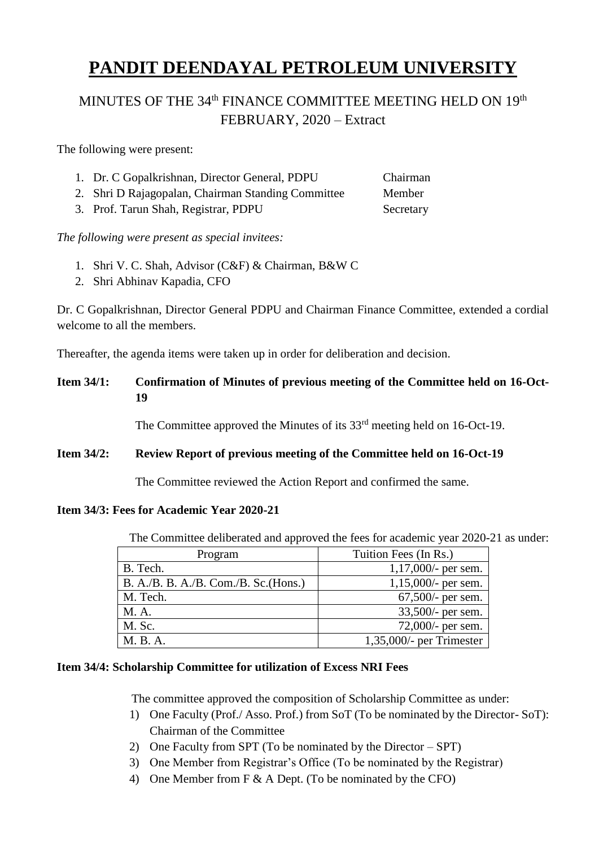# MINUTES OF THE 34<sup>th</sup> FINANCE COMMITTEE MEETING HELD ON 19<sup>th</sup> FEBRUARY, 2020 – Extract

The following were present:

| 1. Dr. C Gopalkrishnan, Director General, PDPU     | Chairman |
|----------------------------------------------------|----------|
| 2. Shri D Rajagopalan, Chairman Standing Committee | Member   |

3. Prof. Tarun Shah, Registrar, PDPU Secretary

*The following were present as special invitees:*

- 1. Shri V. C. Shah, Advisor (C&F) & Chairman, B&W C
- 2. Shri Abhinav Kapadia, CFO

Dr. C Gopalkrishnan, Director General PDPU and Chairman Finance Committee, extended a cordial welcome to all the members.

Thereafter, the agenda items were taken up in order for deliberation and decision.

# **Item 34/1: Confirmation of Minutes of previous meeting of the Committee held on 16-Oct-19**

The Committee approved the Minutes of its 33<sup>rd</sup> meeting held on 16-Oct-19.

### **Item 34/2: Review Report of previous meeting of the Committee held on 16-Oct-19**

The Committee reviewed the Action Report and confirmed the same.

### **Item 34/3: Fees for Academic Year 2020-21**

The Committee deliberated and approved the fees for academic year 2020-21 as under:

| Program                              | Tuition Fees (In Rs.)       |
|--------------------------------------|-----------------------------|
| B. Tech.                             | $1,17,000/$ - per sem.      |
| B. A./B. B. A./B. Com./B. Sc.(Hons.) | $1,15,000/$ - per sem.      |
| M. Tech.                             | $67,500$ /- per sem.        |
| M. A.                                | 33,500/- per sem.           |
| M. Sc.                               | 72,000/- per sem.           |
| M. B. A.                             | $1,35,000/$ - per Trimester |

### **Item 34/4: Scholarship Committee for utilization of Excess NRI Fees**

The committee approved the composition of Scholarship Committee as under:

- 1) One Faculty (Prof./ Asso. Prof.) from SoT (To be nominated by the Director- SoT): Chairman of the Committee
- 2) One Faculty from SPT (To be nominated by the Director SPT)
- 3) One Member from Registrar's Office (To be nominated by the Registrar)
- 4) One Member from F & A Dept. (To be nominated by the CFO)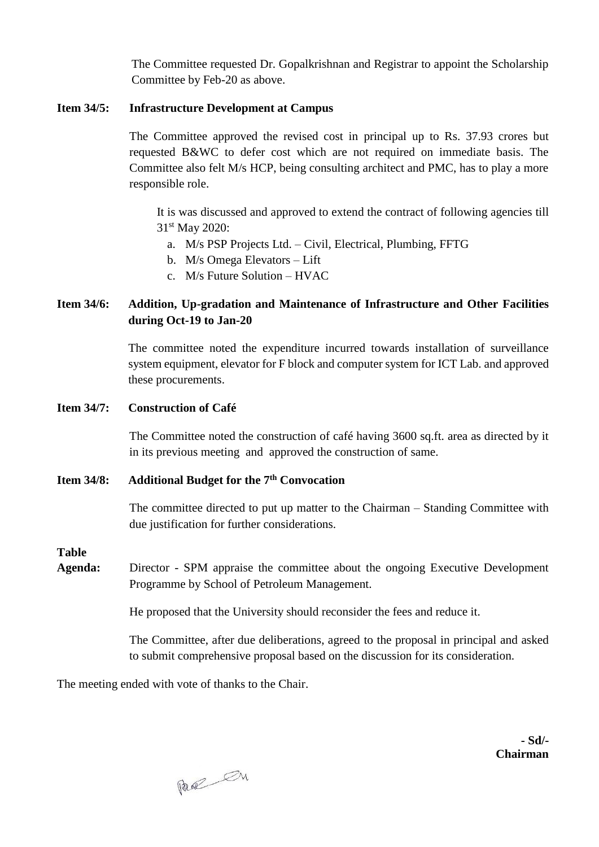The Committee requested Dr. Gopalkrishnan and Registrar to appoint the Scholarship Committee by Feb-20 as above.

### **Item 34/5: Infrastructure Development at Campus**

The Committee approved the revised cost in principal up to Rs. 37.93 crores but requested B&WC to defer cost which are not required on immediate basis. The Committee also felt M/s HCP, being consulting architect and PMC, has to play a more responsible role.

It is was discussed and approved to extend the contract of following agencies till 31st May 2020:

- a. M/s PSP Projects Ltd. Civil, Electrical, Plumbing, FFTG
- b. M/s Omega Elevators Lift
- c. M/s Future Solution HVAC

### **Item 34/6: Addition, Up-gradation and Maintenance of Infrastructure and Other Facilities during Oct-19 to Jan-20**

The committee noted the expenditure incurred towards installation of surveillance system equipment, elevator for F block and computer system for ICT Lab. and approved these procurements.

#### **Item 34/7: Construction of Café**

The Committee noted the construction of café having 3600 sq.ft. area as directed by it in its previous meeting and approved the construction of same.

### **Item 34/8: Additional Budget for the 7th Convocation**

The committee directed to put up matter to the Chairman – Standing Committee with due justification for further considerations.

#### **Table**

**Agenda:** Director - SPM appraise the committee about the ongoing Executive Development Programme by School of Petroleum Management.

He proposed that the University should reconsider the fees and reduce it.

The Committee, after due deliberations, agreed to the proposal in principal and asked to submit comprehensive proposal based on the discussion for its consideration.

The meeting ended with vote of thanks to the Chair.

Page On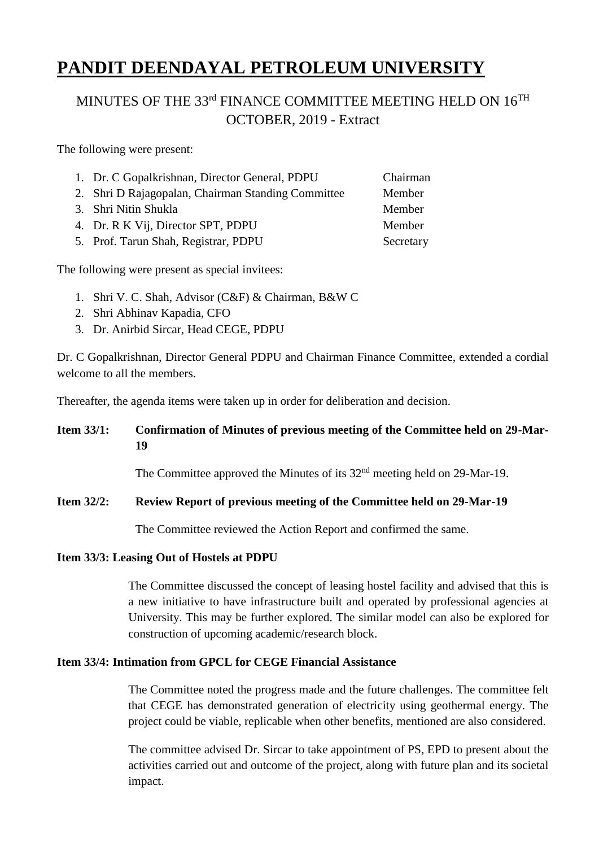# MINUTES OF THE 33<sup>rd</sup> FINANCE COMMITTEE MEETING HELD ON 16<sup>TH</sup> OCTOBER, 2019 - Extract

The following were present:

| 1. Dr. C Gopalkrishnan, Director General, PDPU     | Chairman  |
|----------------------------------------------------|-----------|
| 2. Shri D Rajagopalan, Chairman Standing Committee | Member    |
| 3. Shri Nitin Shukla                               | Member    |
| 4. Dr. R K Vij, Director SPT, PDPU                 | Member    |
| 5. Prof. Tarun Shah, Registrar, PDPU               | Secretary |
|                                                    |           |

The following were present as special invitees:

- 1. Shri V. C. Shah, Advisor (C&F) & Chairman, B&W C
- 2. Shri Abhinav Kapadia, CFO
- 3. Dr. Anirbid Sircar, Head CEGE, PDPU

Dr. C Gopalkrishnan, Director General PDPU and Chairman Finance Committee, extended a cordial welcome to all the members.

Thereafter, the agenda items were taken up in order for deliberation and decision.

### **Item 33/1: Confirmation of Minutes of previous meeting of the Committee held on 29-Mar-19**

The Committee approved the Minutes of its 32<sup>nd</sup> meeting held on 29-Mar-19.

### **Item 32/2: Review Report of previous meeting of the Committee held on 29-Mar-19**

The Committee reviewed the Action Report and confirmed the same.

### **Item 33/3: Leasing Out of Hostels at PDPU**

The Committee discussed the concept of leasing hostel facility and advised that this is a new initiative to have infrastructure built and operated by professional agencies at University. This may be further explored. The similar model can also be explored for construction of upcoming academic/research block.

### **Item 33/4: Intimation from GPCL for CEGE Financial Assistance**

The Committee noted the progress made and the future challenges. The committee felt that CEGE has demonstrated generation of electricity using geothermal energy. The project could be viable, replicable when other benefits, mentioned are also considered.

The committee advised Dr. Sircar to take appointment of PS, EPD to present about the activities carried out and outcome of the project, along with future plan and its societal impact.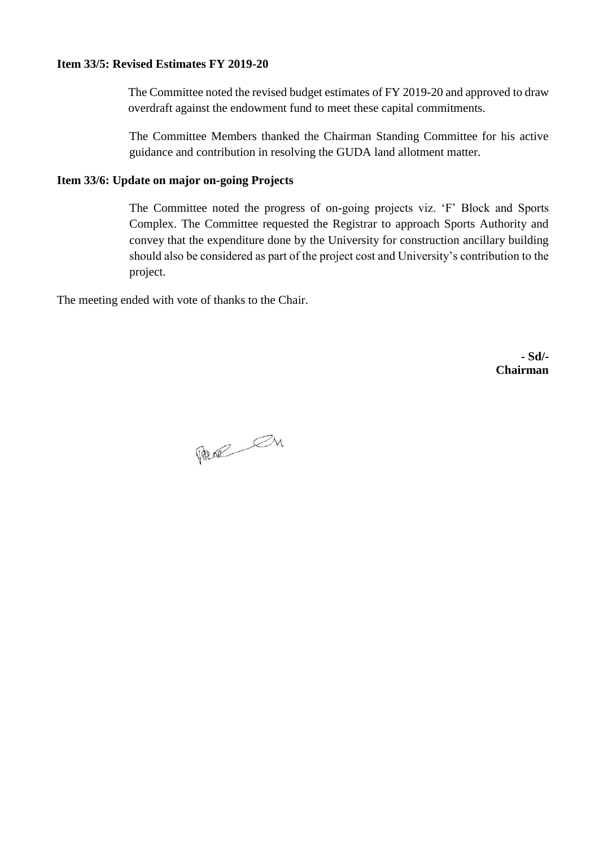### **Item 33/5: Revised Estimates FY 2019-20**

The Committee noted the revised budget estimates of FY 2019-20 and approved to draw overdraft against the endowment fund to meet these capital commitments.

The Committee Members thanked the Chairman Standing Committee for his active guidance and contribution in resolving the GUDA land allotment matter.

### **Item 33/6: Update on major on-going Projects**

The Committee noted the progress of on-going projects viz. 'F' Block and Sports Complex. The Committee requested the Registrar to approach Sports Authority and convey that the expenditure done by the University for construction ancillary building should also be considered as part of the project cost and University's contribution to the project.

The meeting ended with vote of thanks to the Chair.

Page On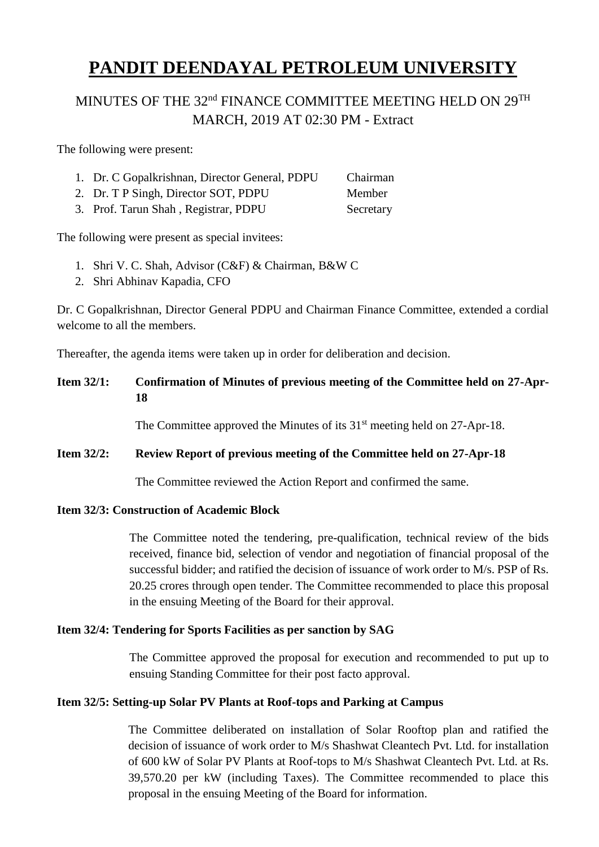# MINUTES OF THE 32<sup>nd</sup> FINANCE COMMITTEE MEETING HELD ON 29<sup>TH</sup> MARCH, 2019 AT 02:30 PM - Extract

The following were present:

- 1. Dr. C Gopalkrishnan, Director General, PDPU Chairman
- 2. Dr. T P Singh, Director SOT, PDPU Member
- 3. Prof. Tarun Shah , Registrar, PDPU Secretary

The following were present as special invitees:

- 1. Shri V. C. Shah, Advisor (C&F) & Chairman, B&W C
- 2. Shri Abhinav Kapadia, CFO

Dr. C Gopalkrishnan, Director General PDPU and Chairman Finance Committee, extended a cordial welcome to all the members.

Thereafter, the agenda items were taken up in order for deliberation and decision.

## **Item 32/1: Confirmation of Minutes of previous meeting of the Committee held on 27-Apr-18**

The Committee approved the Minutes of its  $31<sup>st</sup>$  meeting held on 27-Apr-18.

### **Item 32/2: Review Report of previous meeting of the Committee held on 27-Apr-18**

The Committee reviewed the Action Report and confirmed the same.

### **Item 32/3: Construction of Academic Block**

The Committee noted the tendering, pre-qualification, technical review of the bids received, finance bid, selection of vendor and negotiation of financial proposal of the successful bidder; and ratified the decision of issuance of work order to M/s. PSP of Rs. 20.25 crores through open tender. The Committee recommended to place this proposal in the ensuing Meeting of the Board for their approval.

### **Item 32/4: Tendering for Sports Facilities as per sanction by SAG**

The Committee approved the proposal for execution and recommended to put up to ensuing Standing Committee for their post facto approval.

### **Item 32/5: Setting-up Solar PV Plants at Roof-tops and Parking at Campus**

The Committee deliberated on installation of Solar Rooftop plan and ratified the decision of issuance of work order to M/s Shashwat Cleantech Pvt. Ltd. for installation of 600 kW of Solar PV Plants at Roof-tops to M/s Shashwat Cleantech Pvt. Ltd. at Rs. 39,570.20 per kW (including Taxes). The Committee recommended to place this proposal in the ensuing Meeting of the Board for information.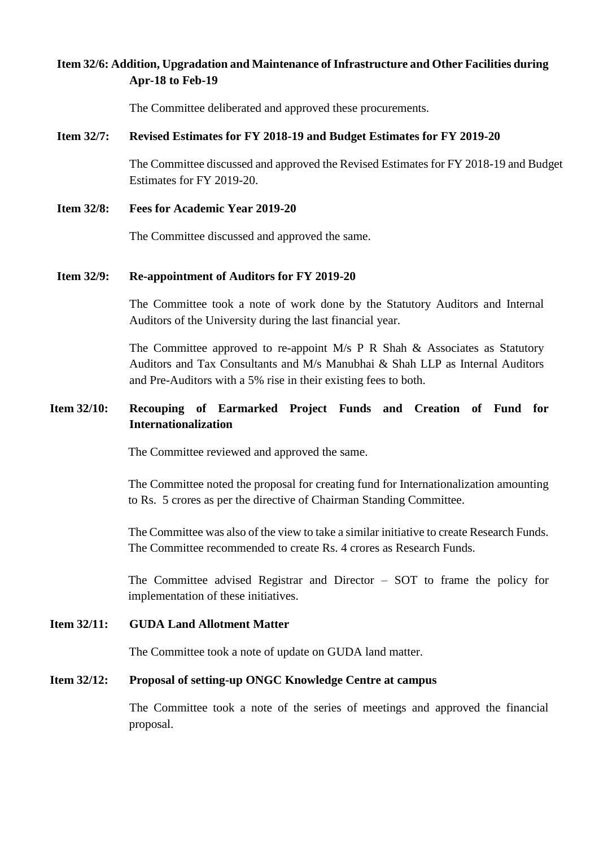### **Item 32/6: Addition, Upgradation and Maintenance of Infrastructure and Other Facilities during Apr-18 to Feb-19**

The Committee deliberated and approved these procurements.

#### **Item 32/7: Revised Estimates for FY 2018-19 and Budget Estimates for FY 2019-20**

The Committee discussed and approved the Revised Estimates for FY 2018-19 and Budget Estimates for FY 2019-20.

**Item 32/8: Fees for Academic Year 2019-20**

The Committee discussed and approved the same.

#### **Item 32/9: Re-appointment of Auditors for FY 2019-20**

The Committee took a note of work done by the Statutory Auditors and Internal Auditors of the University during the last financial year.

The Committee approved to re-appoint M/s P R Shah & Associates as Statutory Auditors and Tax Consultants and M/s Manubhai & Shah LLP as Internal Auditors and Pre-Auditors with a 5% rise in their existing fees to both.

### **Item 32/10: Recouping of Earmarked Project Funds and Creation of Fund for Internationalization**

The Committee reviewed and approved the same.

The Committee noted the proposal for creating fund for Internationalization amounting to Rs. 5 crores as per the directive of Chairman Standing Committee.

The Committee was also of the view to take a similar initiative to create Research Funds. The Committee recommended to create Rs. 4 crores as Research Funds.

The Committee advised Registrar and Director – SOT to frame the policy for implementation of these initiatives.

### **Item 32/11: GUDA Land Allotment Matter**

The Committee took a note of update on GUDA land matter.

### **Item 32/12: Proposal of setting-up ONGC Knowledge Centre at campus**

The Committee took a note of the series of meetings and approved the financial proposal.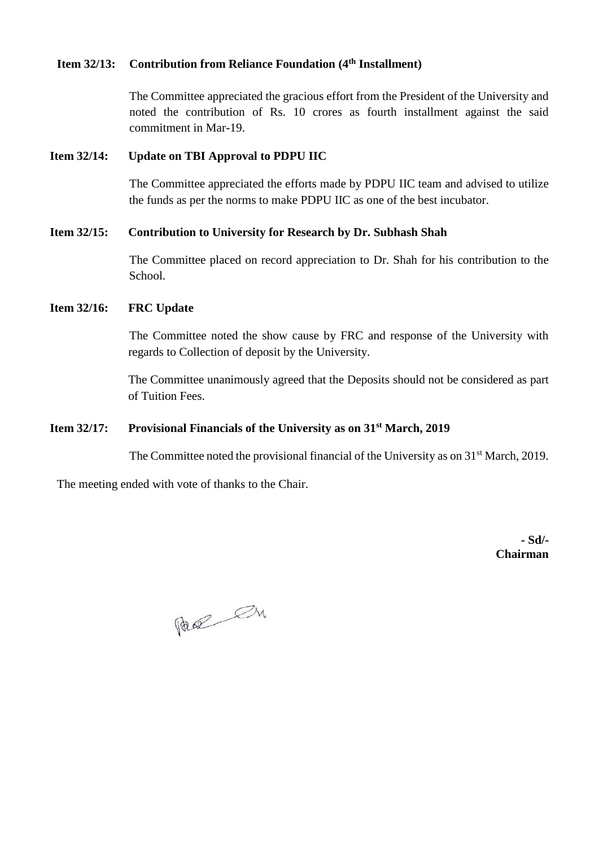### **Item 32/13: Contribution from Reliance Foundation (4th Installment)**

The Committee appreciated the gracious effort from the President of the University and noted the contribution of Rs. 10 crores as fourth installment against the said commitment in Mar-19.

### **Item 32/14: Update on TBI Approval to PDPU IIC**

The Committee appreciated the efforts made by PDPU IIC team and advised to utilize the funds as per the norms to make PDPU IIC as one of the best incubator.

### **Item 32/15: Contribution to University for Research by Dr. Subhash Shah**

The Committee placed on record appreciation to Dr. Shah for his contribution to the School.

### **Item 32/16: FRC Update**

The Committee noted the show cause by FRC and response of the University with regards to Collection of deposit by the University.

The Committee unanimously agreed that the Deposits should not be considered as part of Tuition Fees.

### **Item 32/17: Provisional Financials of the University as on 31st March, 2019**

The Committee noted the provisional financial of the University as on 31<sup>st</sup> March, 2019.

The meeting ended with vote of thanks to the Chair.

Page On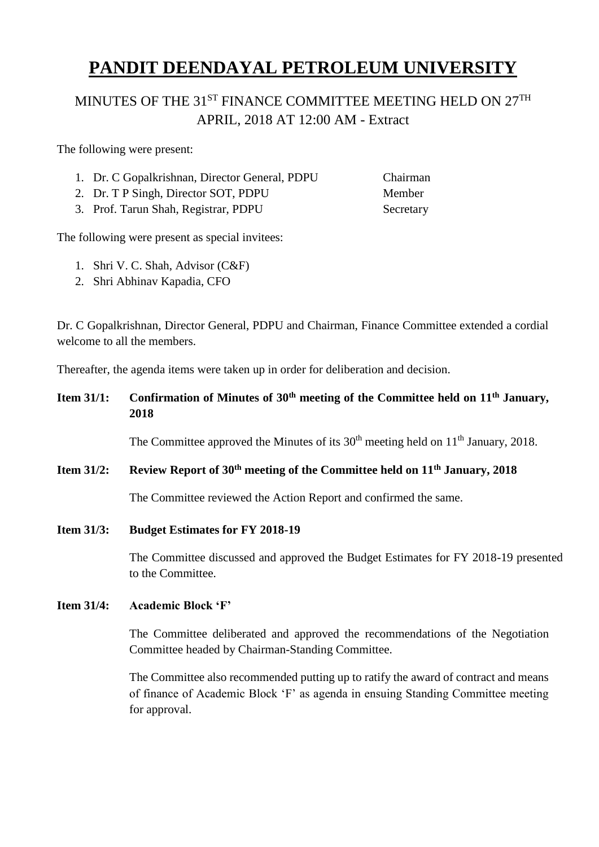# MINUTES OF THE 31<sup>ST</sup> FINANCE COMMITTEE MEETING HELD ON 27<sup>TH</sup> APRIL, 2018 AT 12:00 AM - Extract

The following were present:

- 1. Dr. C Gopalkrishnan, Director General, PDPU Chairman
- 2. Dr. T P Singh, Director SOT, PDPU Member
- 3. Prof. Tarun Shah, Registrar, PDPU Secretary

The following were present as special invitees:

- 1. Shri V. C. Shah, Advisor (C&F)
- 2. Shri Abhinav Kapadia, CFO

Dr. C Gopalkrishnan, Director General, PDPU and Chairman, Finance Committee extended a cordial welcome to all the members.

Thereafter, the agenda items were taken up in order for deliberation and decision.

# **Item 31/1: Confirmation of Minutes of 30th meeting of the Committee held on 11th January, 2018**

The Committee approved the Minutes of its  $30<sup>th</sup>$  meeting held on  $11<sup>th</sup>$  January, 2018.

### **Item 31/2: Review Report of 30th meeting of the Committee held on 11th January, 2018**

The Committee reviewed the Action Report and confirmed the same.

**Item 31/3: Budget Estimates for FY 2018-19**

The Committee discussed and approved the Budget Estimates for FY 2018-19 presented to the Committee.

### **Item 31/4: Academic Block 'F'**

The Committee deliberated and approved the recommendations of the Negotiation Committee headed by Chairman-Standing Committee.

The Committee also recommended putting up to ratify the award of contract and means of finance of Academic Block 'F' as agenda in ensuing Standing Committee meeting for approval.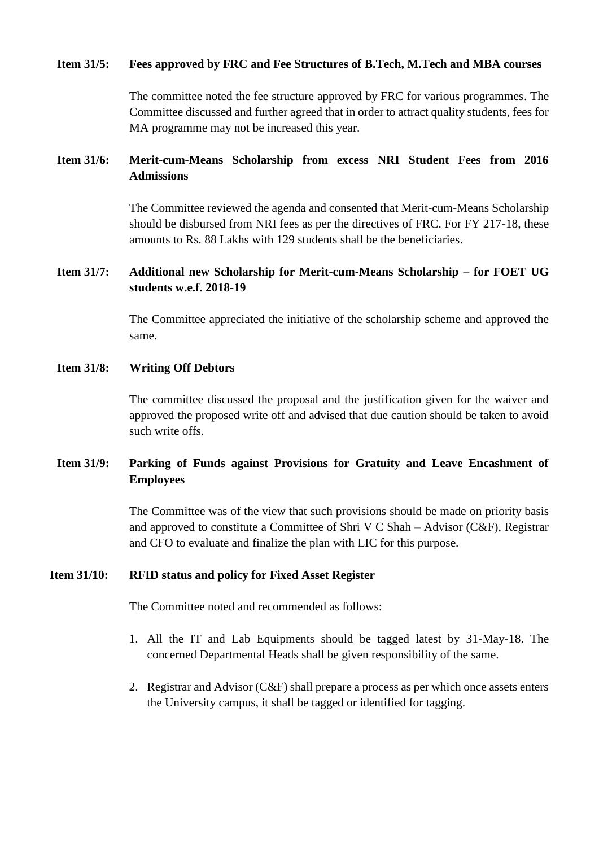### **Item 31/5: Fees approved by FRC and Fee Structures of B.Tech, M.Tech and MBA courses**

The committee noted the fee structure approved by FRC for various programmes. The Committee discussed and further agreed that in order to attract quality students, fees for MA programme may not be increased this year.

## **Item 31/6: Merit-cum-Means Scholarship from excess NRI Student Fees from 2016 Admissions**

The Committee reviewed the agenda and consented that Merit-cum-Means Scholarship should be disbursed from NRI fees as per the directives of FRC. For FY 217-18, these amounts to Rs. 88 Lakhs with 129 students shall be the beneficiaries.

### **Item 31/7: Additional new Scholarship for Merit-cum-Means Scholarship – for FOET UG students w.e.f. 2018-19**

The Committee appreciated the initiative of the scholarship scheme and approved the same.

### **Item 31/8: Writing Off Debtors**

The committee discussed the proposal and the justification given for the waiver and approved the proposed write off and advised that due caution should be taken to avoid such write offs.

### **Item 31/9: Parking of Funds against Provisions for Gratuity and Leave Encashment of Employees**

The Committee was of the view that such provisions should be made on priority basis and approved to constitute a Committee of Shri V C Shah – Advisor (C&F), Registrar and CFO to evaluate and finalize the plan with LIC for this purpose.

### **Item 31/10: RFID status and policy for Fixed Asset Register**

The Committee noted and recommended as follows:

- 1. All the IT and Lab Equipments should be tagged latest by 31-May-18. The concerned Departmental Heads shall be given responsibility of the same.
- 2. Registrar and Advisor (C&F) shall prepare a process as per which once assets enters the University campus, it shall be tagged or identified for tagging.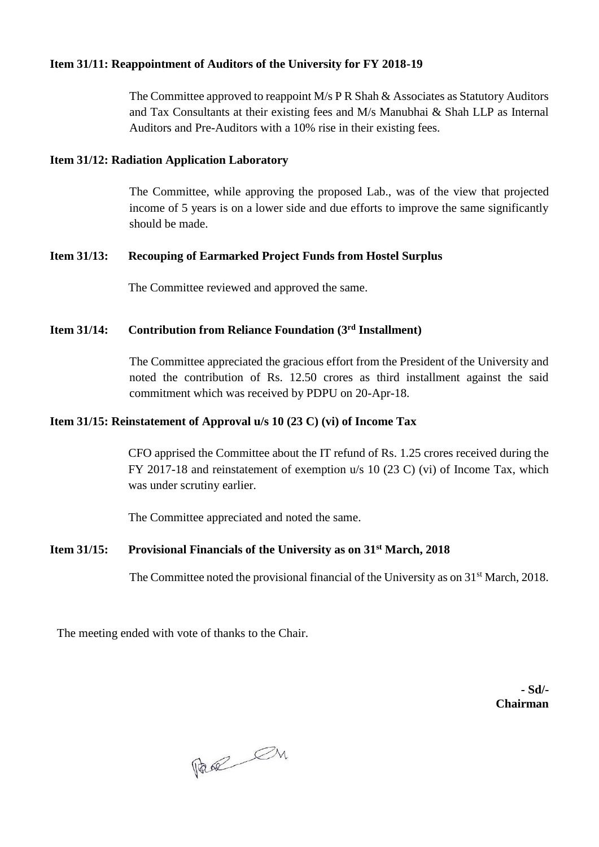### **Item 31/11: Reappointment of Auditors of the University for FY 2018-19**

The Committee approved to reappoint M/s P R Shah & Associates as Statutory Auditors and Tax Consultants at their existing fees and M/s Manubhai & Shah LLP as Internal Auditors and Pre-Auditors with a 10% rise in their existing fees.

### **Item 31/12: Radiation Application Laboratory**

The Committee, while approving the proposed Lab., was of the view that projected income of 5 years is on a lower side and due efforts to improve the same significantly should be made.

### **Item 31/13: Recouping of Earmarked Project Funds from Hostel Surplus**

The Committee reviewed and approved the same.

## **Item 31/14: Contribution from Reliance Foundation (3rd Installment)**

The Committee appreciated the gracious effort from the President of the University and noted the contribution of Rs. 12.50 crores as third installment against the said commitment which was received by PDPU on 20-Apr-18.

### **Item 31/15: Reinstatement of Approval u/s 10 (23 C) (vi) of Income Tax**

CFO apprised the Committee about the IT refund of Rs. 1.25 crores received during the FY 2017-18 and reinstatement of exemption u/s 10 (23 C) (vi) of Income Tax, which was under scrutiny earlier.

The Committee appreciated and noted the same.

### **Item 31/15: Provisional Financials of the University as on 31st March, 2018**

The Committee noted the provisional financial of the University as on 31<sup>st</sup> March, 2018.

The meeting ended with vote of thanks to the Chair.

Page On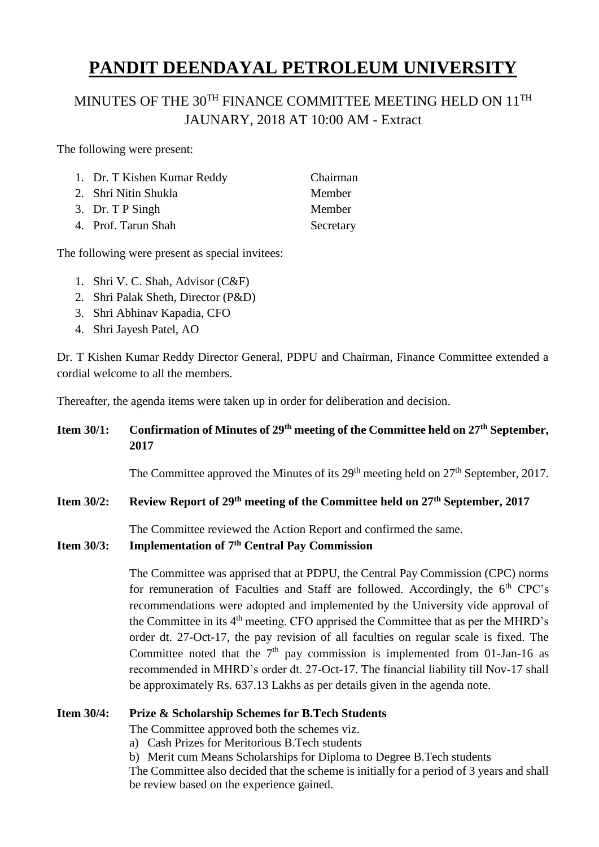# MINUTES OF THE 30<sup>TH</sup> FINANCE COMMITTEE MEETING HELD ON 11<sup>TH</sup> JAUNARY, 2018 AT 10:00 AM - Extract

The following were present:

| 1. Dr. T Kishen Kumar Reddy | Chairman  |
|-----------------------------|-----------|
| 2. Shri Nitin Shukla        | Member    |
| 3. Dr. T P Singh            | Member    |
| 4. Prof. Tarun Shah         | Secretary |

The following were present as special invitees:

- 1. Shri V. C. Shah, Advisor (C&F)
- 2. Shri Palak Sheth, Director (P&D)
- 3. Shri Abhinav Kapadia, CFO
- 4. Shri Jayesh Patel, AO

Dr. T Kishen Kumar Reddy Director General, PDPU and Chairman, Finance Committee extended a cordial welcome to all the members.

Thereafter, the agenda items were taken up in order for deliberation and decision.

### **Item 30/1: Confirmation of Minutes of 29th meeting of the Committee held on 27th September, 2017**

The Committee approved the Minutes of its  $29<sup>th</sup>$  meeting held on  $27<sup>th</sup>$  September, 2017.

### **Item 30/2: Review Report of 29th meeting of the Committee held on 27th September, 2017**

The Committee reviewed the Action Report and confirmed the same.

# **Item 30/3: Implementation of 7th Central Pay Commission**

The Committee was apprised that at PDPU, the Central Pay Commission (CPC) norms for remuneration of Faculties and Staff are followed. Accordingly, the  $6<sup>th</sup>$  CPC's recommendations were adopted and implemented by the University vide approval of the Committee in its 4th meeting. CFO apprised the Committee that as per the MHRD's order dt. 27-Oct-17, the pay revision of all faculties on regular scale is fixed. The Committee noted that the  $7<sup>th</sup>$  pay commission is implemented from 01-Jan-16 as recommended in MHRD's order dt. 27-Oct-17. The financial liability till Nov-17 shall be approximately Rs. 637.13 Lakhs as per details given in the agenda note.

### **Item 30/4: Prize & Scholarship Schemes for B.Tech Students**

The Committee approved both the schemes viz.

- a) Cash Prizes for Meritorious B.Tech students
- b) Merit cum Means Scholarships for Diploma to Degree B.Tech students

The Committee also decided that the scheme is initially for a period of 3 years and shall be review based on the experience gained.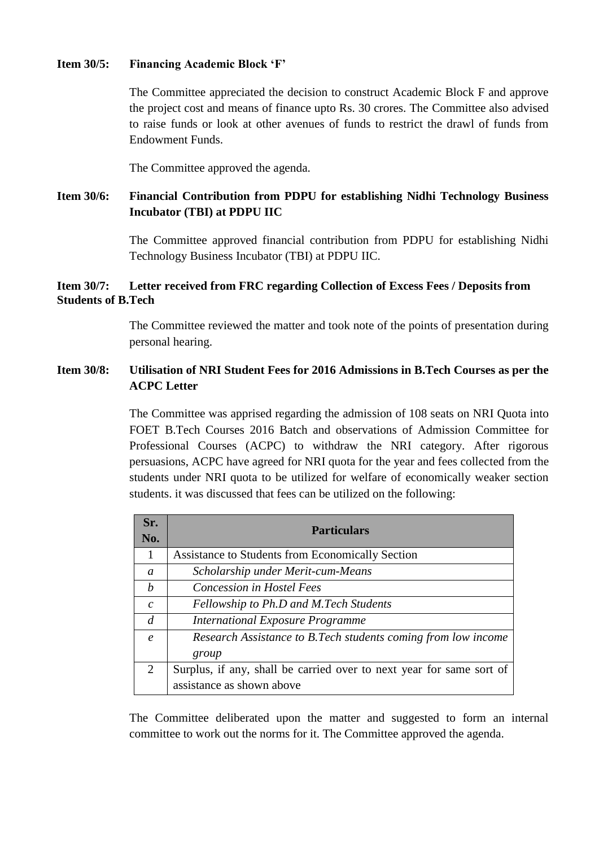### **Item 30/5: Financing Academic Block 'F'**

The Committee appreciated the decision to construct Academic Block F and approve the project cost and means of finance upto Rs. 30 crores. The Committee also advised to raise funds or look at other avenues of funds to restrict the drawl of funds from Endowment Funds.

The Committee approved the agenda.

## **Item 30/6: Financial Contribution from PDPU for establishing Nidhi Technology Business Incubator (TBI) at PDPU IIC**

The Committee approved financial contribution from PDPU for establishing Nidhi Technology Business Incubator (TBI) at PDPU IIC.

### **Item 30/7: Letter received from FRC regarding Collection of Excess Fees / Deposits from Students of B.Tech**

The Committee reviewed the matter and took note of the points of presentation during personal hearing.

### **Item 30/8: Utilisation of NRI Student Fees for 2016 Admissions in B.Tech Courses as per the ACPC Letter**

The Committee was apprised regarding the admission of 108 seats on NRI Quota into FOET B.Tech Courses 2016 Batch and observations of Admission Committee for Professional Courses (ACPC) to withdraw the NRI category. After rigorous persuasions, ACPC have agreed for NRI quota for the year and fees collected from the students under NRI quota to be utilized for welfare of economically weaker section students. it was discussed that fees can be utilized on the following:

| Sr.              | <b>Particulars</b>                                                   |  |  |
|------------------|----------------------------------------------------------------------|--|--|
| No.              |                                                                      |  |  |
| 1                | Assistance to Students from Economically Section                     |  |  |
| a                | Scholarship under Merit-cum-Means                                    |  |  |
| h                | <b>Concession in Hostel Fees</b>                                     |  |  |
| $\mathcal{C}$    | Fellowship to Ph.D and M.Tech Students                               |  |  |
| d                | <b>International Exposure Programme</b>                              |  |  |
| $\boldsymbol{e}$ | Research Assistance to B.Tech students coming from low income        |  |  |
|                  | group                                                                |  |  |
| 2                | Surplus, if any, shall be carried over to next year for same sort of |  |  |
|                  | assistance as shown above                                            |  |  |

The Committee deliberated upon the matter and suggested to form an internal committee to work out the norms for it. The Committee approved the agenda.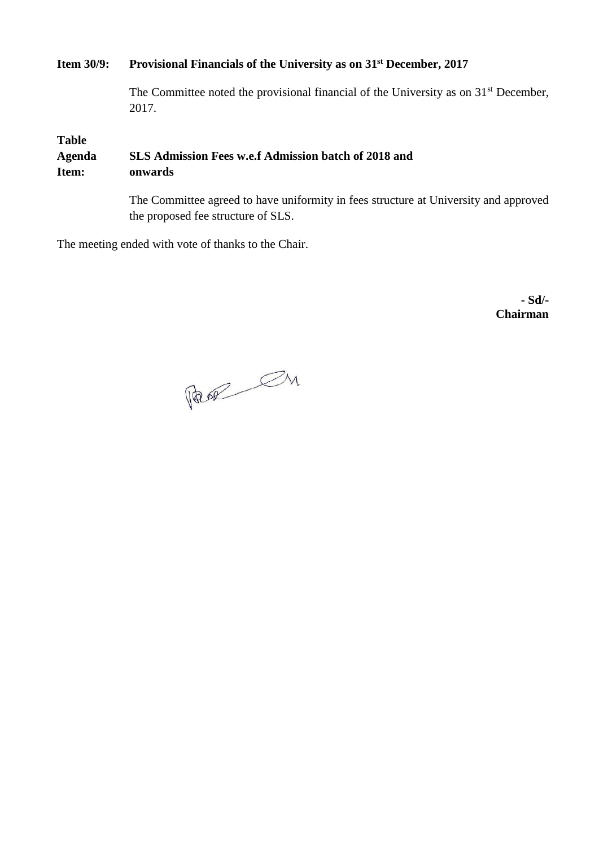## **Item 30/9: Provisional Financials of the University as on 31st December, 2017**

The Committee noted the provisional financial of the University as on 31<sup>st</sup> December, 2017.

**Table** 

**Agenda SLS Admission Fees w.e.f Admission batch of 2018 and Item: onwards**

> The Committee agreed to have uniformity in fees structure at University and approved the proposed fee structure of SLS.

The meeting ended with vote of thanks to the Chair.

Page On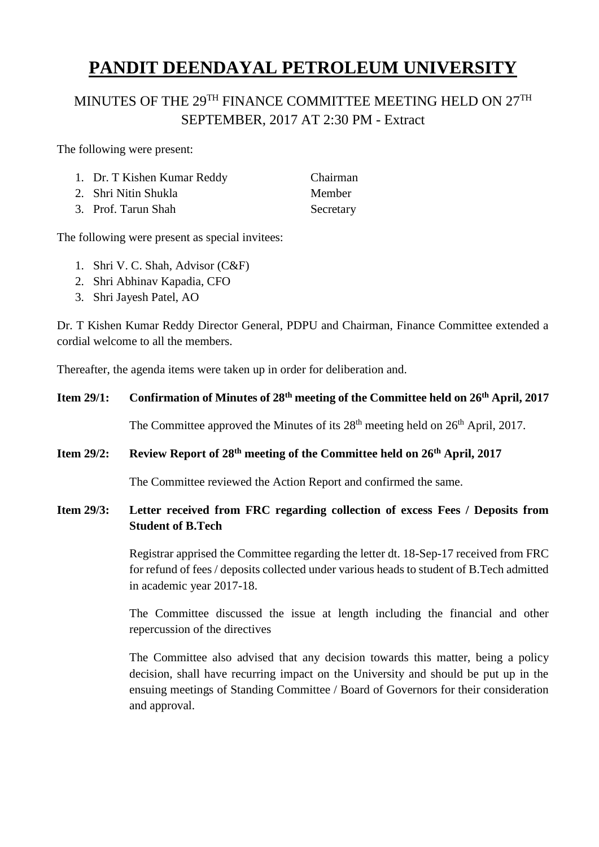# MINUTES OF THE 29<sup>TH</sup> FINANCE COMMITTEE MEETING HELD ON 27<sup>TH</sup> SEPTEMBER, 2017 AT 2:30 PM - Extract

The following were present:

| 1. Dr. T Kishen Kumar Reddy | Chairman      |
|-----------------------------|---------------|
| 2. Shri Nitin Shukla        | <b>Member</b> |
| 3. Prof. Tarun Shah         | Secretary     |

The following were present as special invitees:

- 1. Shri V. C. Shah, Advisor (C&F)
- 2. Shri Abhinav Kapadia, CFO
- 3. Shri Jayesh Patel, AO

Dr. T Kishen Kumar Reddy Director General, PDPU and Chairman, Finance Committee extended a cordial welcome to all the members.

Thereafter, the agenda items were taken up in order for deliberation and.

# **Item 29/1: Confirmation of Minutes of 28th meeting of the Committee held on 26th April, 2017** The Committee approved the Minutes of its  $28<sup>th</sup>$  meeting held on  $26<sup>th</sup>$  April, 2017.

### **Item 29/2: Review Report of 28th meeting of the Committee held on 26th April, 2017**

The Committee reviewed the Action Report and confirmed the same.

### **Item 29/3: Letter received from FRC regarding collection of excess Fees / Deposits from Student of B.Tech**

Registrar apprised the Committee regarding the letter dt. 18-Sep-17 received from FRC for refund of fees / deposits collected under various heads to student of B.Tech admitted in academic year 2017-18.

The Committee discussed the issue at length including the financial and other repercussion of the directives

The Committee also advised that any decision towards this matter, being a policy decision, shall have recurring impact on the University and should be put up in the ensuing meetings of Standing Committee / Board of Governors for their consideration and approval.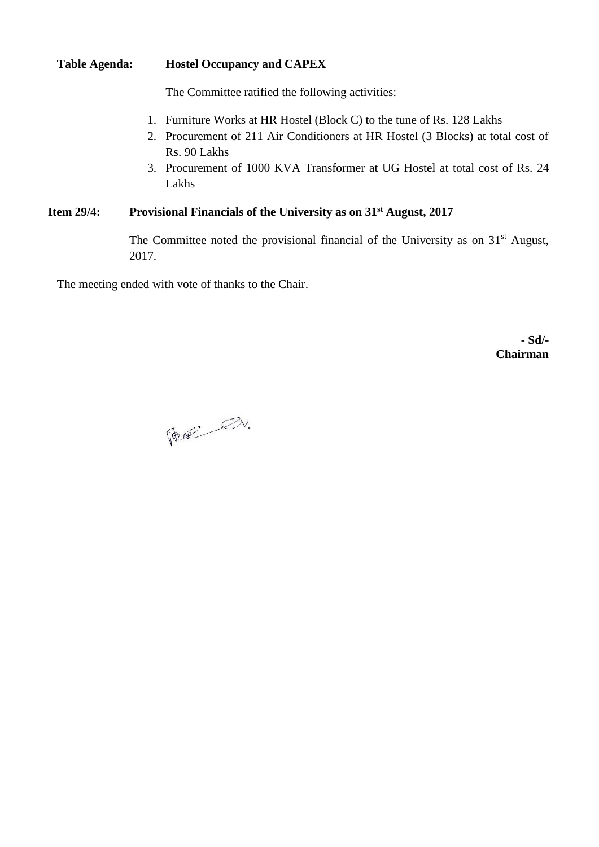### **Table Agenda: Hostel Occupancy and CAPEX**

The Committee ratified the following activities:

- 1. Furniture Works at HR Hostel (Block C) to the tune of Rs. 128 Lakhs
- 2. Procurement of 211 Air Conditioners at HR Hostel (3 Blocks) at total cost of Rs. 90 Lakhs
- 3. Procurement of 1000 KVA Transformer at UG Hostel at total cost of Rs. 24 Lakhs

# **Item 29/4: Provisional Financials of the University as on 31st August, 2017**

The Committee noted the provisional financial of the University as on  $31<sup>st</sup>$  August, 2017.

The meeting ended with vote of thanks to the Chair.

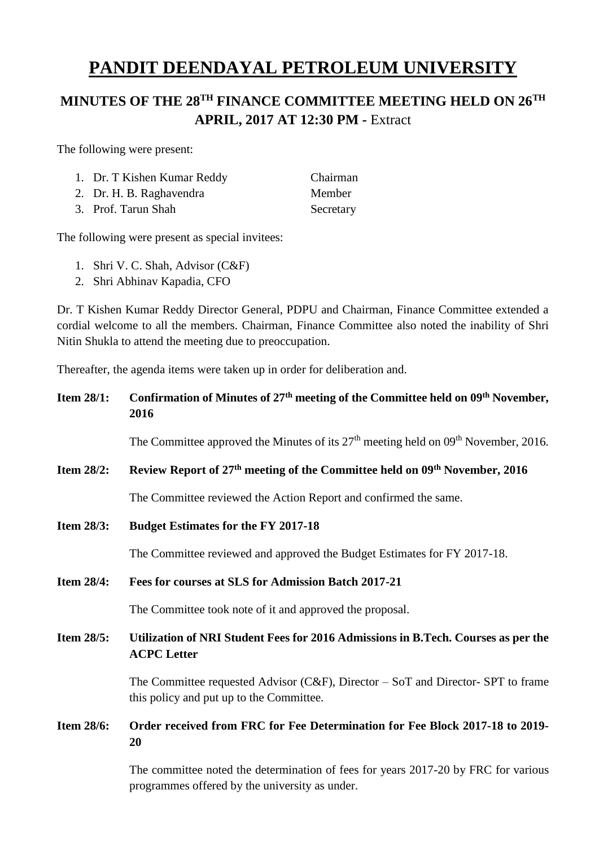# **MINUTES OF THE 28TH FINANCE COMMITTEE MEETING HELD ON 26TH APRIL, 2017 AT 12:30 PM -** Extract

The following were present:

| 1. Dr. T Kishen Kumar Reddy | Chairma |
|-----------------------------|---------|
| 2. Dr. H. B. Raghavendra    | Member  |

3. Prof. Tarun Shah Secretary

Chairman

The following were present as special invitees:

- 1. Shri V. C. Shah, Advisor (C&F)
- 2. Shri Abhinav Kapadia, CFO

Dr. T Kishen Kumar Reddy Director General, PDPU and Chairman, Finance Committee extended a cordial welcome to all the members. Chairman, Finance Committee also noted the inability of Shri Nitin Shukla to attend the meeting due to preoccupation.

Thereafter, the agenda items were taken up in order for deliberation and.

| <b>Item 28/1:</b> | Confirmation of Minutes of 27 <sup>th</sup> meeting of the Committee held on 09 <sup>th</sup> November,<br>2016                |  |
|-------------------|--------------------------------------------------------------------------------------------------------------------------------|--|
|                   | The Committee approved the Minutes of its 27 <sup>th</sup> meeting held on 09 <sup>th</sup> November, 2016.                    |  |
| <b>Item 28/2:</b> | Review Report of 27 <sup>th</sup> meeting of the Committee held on 09 <sup>th</sup> November, 2016                             |  |
|                   | The Committee reviewed the Action Report and confirmed the same.                                                               |  |
| <b>Item 28/3:</b> | <b>Budget Estimates for the FY 2017-18</b>                                                                                     |  |
|                   | The Committee reviewed and approved the Budget Estimates for FY 2017-18.                                                       |  |
| <b>Item 28/4:</b> | Fees for courses at SLS for Admission Batch 2017-21                                                                            |  |
|                   | The Committee took note of it and approved the proposal.                                                                       |  |
| <b>Item 28/5:</b> | Utilization of NRI Student Fees for 2016 Admissions in B.Tech. Courses as per the<br><b>ACPC</b> Letter                        |  |
|                   | The Committee requested Advisor (C&F), Director $-$ SoT and Director- SPT to frame<br>this policy and put up to the Committee. |  |
| <b>Item 28/6:</b> | Order received from FRC for Fee Determination for Fee Block 2017-18 to 2019-<br>20                                             |  |
|                   | The committee noted the determination of fees for years 2017-20 by FRC for various                                             |  |

The committee noted the determination of fees for years 2017-20 by FRC for various programmes offered by the university as under.